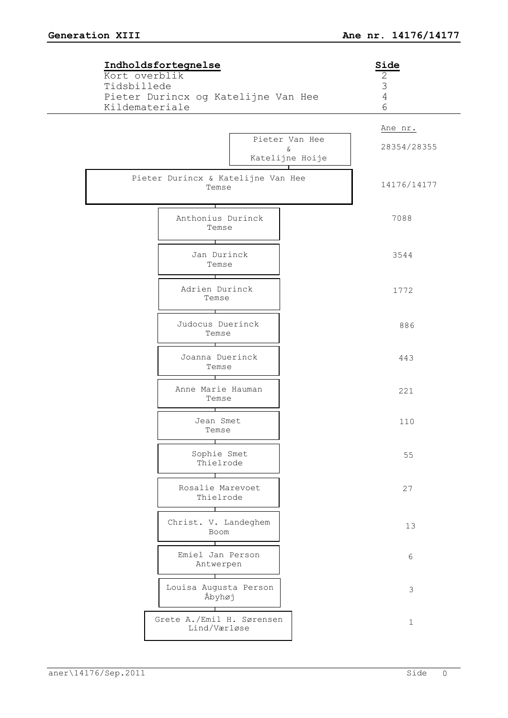| Indholdsfortegnelse<br>Kort overblik                                 | Side<br>2                                                       |
|----------------------------------------------------------------------|-----------------------------------------------------------------|
| Tidsbillede<br>Pieter Durincx og Katelijne Van Hee<br>Kildemateriale | $\mathfrak{Z}$<br>$\overline{4}$<br>6                           |
|                                                                      | Ane nr.                                                         |
|                                                                      | Pieter Van Hee<br>28354/28355<br>$\delta\!c$<br>Katelijne Hoije |
| Pieter Durincx & Katelijne Van Hee<br>Temse                          | 14176/14177                                                     |
| Anthonius Durinck<br>Temse                                           | 7088                                                            |
| Jan Durinck<br>Temse                                                 | 3544                                                            |
| Adrien Durinck<br>Temse                                              | 1772                                                            |
| Judocus Duerinck<br>Temse                                            | 886                                                             |
| Joanna Duerinck<br>Temse                                             | 443                                                             |
| Anne Marie Hauman<br>Temse                                           | 221                                                             |
| Jean Smet<br>Temse                                                   | 110                                                             |
| Sophie Smet<br>Thielrode                                             | 55                                                              |
| Rosalie Marevoet<br>Thielrode                                        | 27                                                              |
| Christ. V. Landeghem<br>Boom                                         | 13                                                              |
| Emiel Jan Person<br>Antwerpen                                        | 6                                                               |
| Louisa Augusta Person<br>Åbyhøj                                      | $\mathfrak{Z}$                                                  |
| Grete A./Emil H. Sørensen<br>Lind/Værløse                            | $\mathbf{1}$                                                    |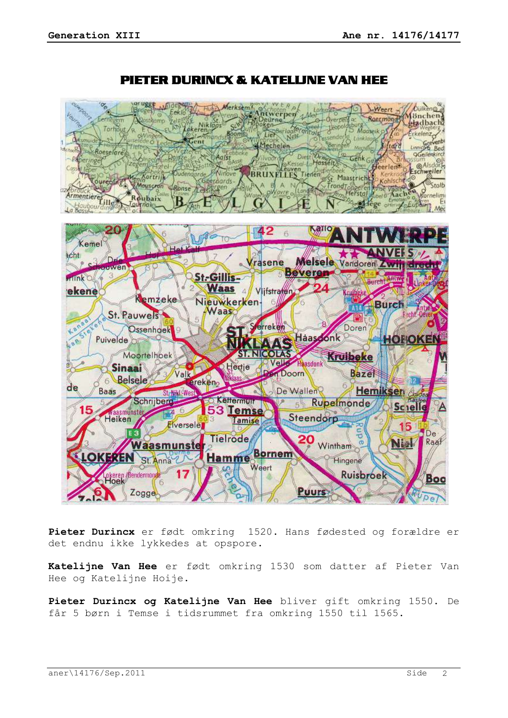

# PIETER DURINCX & KATELIJNE VAN HEE

**Pieter Durincx** er født omkring 1520. Hans fødested og forældre er det endnu ikke lykkedes at opspore.

**Katelijne Van Hee** er født omkring 1530 som datter af Pieter Van Hee og Katelijne Hoije.

**Pieter Durincx og Katelijne Van Hee** bliver gift omkring 1550. De får 5 børn i Temse i tidsrummet fra omkring 1550 til 1565.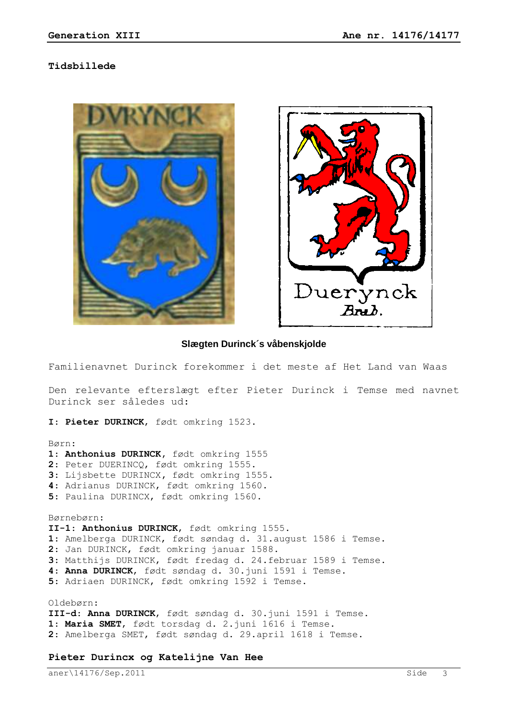#### **Tidsbillede**





#### **Slægten Durinck´s våbenskjolde**

Familienavnet Durinck forekommer i det meste af Het Land van Waas

Den relevante efterslægt efter Pieter Durinck i Temse med navnet Durinck ser således ud:

**I**: **Pieter DURINCK**, født omkring 1523.

Børn:

- **1**: **Anthonius DURINCK,** født omkring 1555
- **2**: Peter DUERINCQ, født omkring 1555.
- **3**: Lijsbette DURINCX**,** født omkring 1555.
- **4**: Adrianus DURINCK, født omkring 1560.
- **5**: Paulina DURINCX, født omkring 1560.

Børnebørn: **II-1**: **Anthonius DURINCK**, født omkring 1555. : Amelberga DURINCK, født søndag d. 31.august 1586 i Temse. : Jan DURINCK, født omkring januar 1588. : Matthijs DURINCK, født fredag d. 24.februar 1589 i Temse. : **Anna DURINCK**, født søndag d. 30.juni 1591 i Temse. : Adriaen DURINCK, født omkring 1592 i Temse. Oldebørn:

**III-d**: **Anna DURINCK**, født søndag d. 30.juni 1591 i Temse. **1**: **Maria SMET**, født torsdag d. 2.juni 1616 i Temse. **2**: Amelberga SMET, født søndag d. 29.april 1618 i Temse.

#### **Pieter Durincx og Katelijne Van Hee**

aner\14176/Sep.2011 Side 3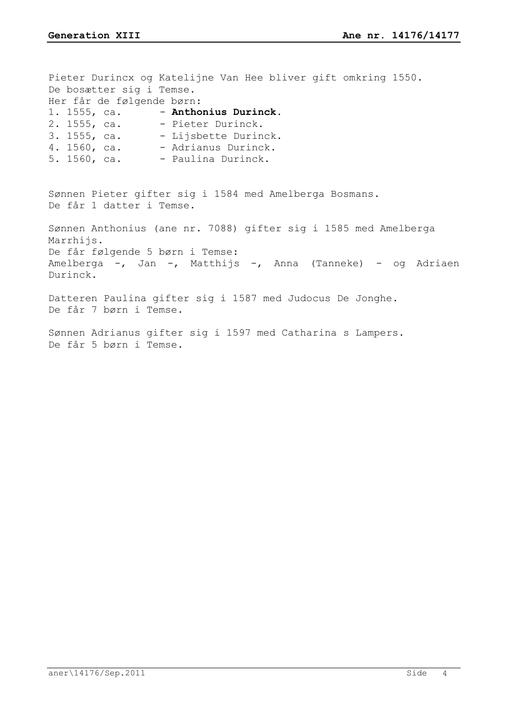Pieter Durincx og Katelijne Van Hee bliver gift omkring 1550. De bosætter sig i Temse. Her får de følgende børn: 1. 1555, ca. - **Anthonius Durinck**. 2. 1555, ca. - Pieter Durinck. 3. 1555, ca. - Lijsbette Durinck. 4. 1560, ca. - Adrianus Durinck.  $5. 1560$ , ca.  $-$  Paulina Durinck. Sønnen Pieter gifter sig i 1584 med Amelberga Bosmans. De får 1 datter i Temse. Sønnen Anthonius (ane nr. 7088) gifter sig i 1585 med Amelberga Marrhijs. De får følgende 5 børn i Temse: Amelberga -, Jan -, Matthijs -, Anna (Tanneke) - og Adriaen Durinck. Datteren Paulina gifter sig i 1587 med Judocus De Jonghe. De får 7 børn i Temse. Sønnen Adrianus gifter sig i 1597 med Catharina s Lampers. De får 5 børn i Temse.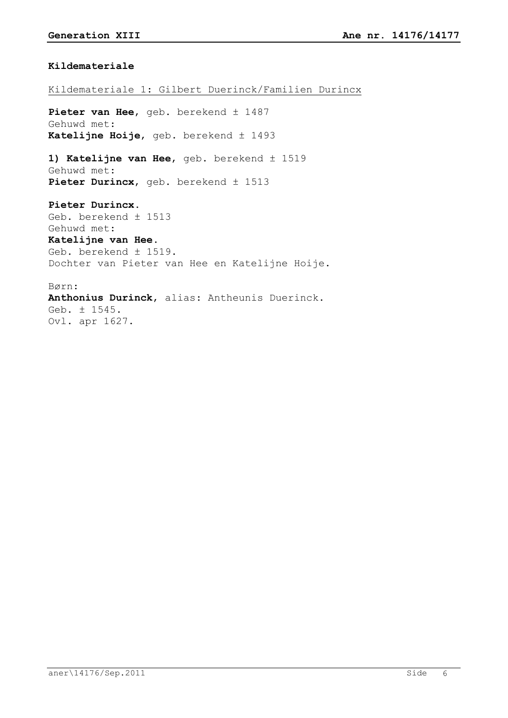### **Kildemateriale**

## Kildemateriale 1: Gilbert Duerinck/Familien Durincx

Pieter van Hee, geb. berekend ± 1487 Gehuwd met: **Katelijne Hoije**, geb. berekend ± 1493

**1) Katelijne van Hee**, geb. berekend ± 1519 Gehuwd met: **Pieter Durincx**, geb. berekend ± 1513

**Pieter Durincx**. Geb. berekend ± 1513 Gehuwd met: **Katelijne van Hee**. Geb. berekend ± 1519. Dochter van Pieter van Hee en Katelijne Hoije.

Børn: **Anthonius Durinck**, alias: Antheunis Duerinck. Geb. ± 1545. Ovl. apr 1627.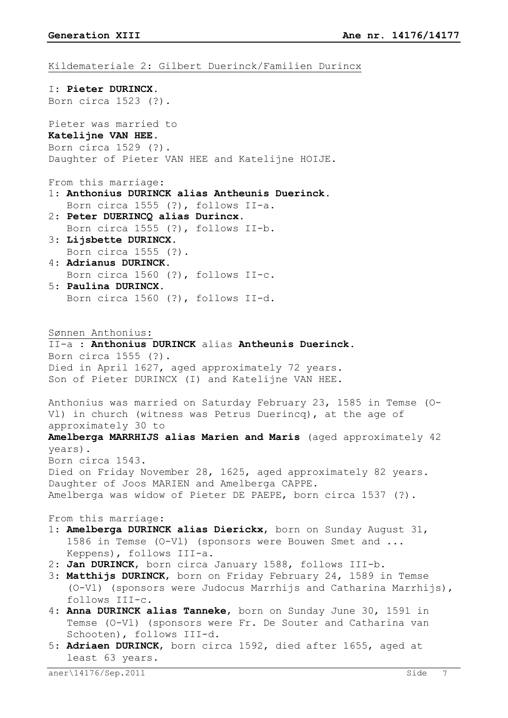**Generation XIII Ane nr. 14176/14177** Kildemateriale 2: Gilbert Duerinck/Familien Durincx I: **Pieter DURINCX**. Born circa 1523 (?). Pieter was married to **Katelijne VAN HEE**. Born circa 1529 (?). Daughter of Pieter VAN HEE and Katelijne HOIJE. From this marriage: 1: **Anthonius DURINCK alias Antheunis Duerinck**. Born circa 1555 (?), follows II-a. 2: **Peter DUERINCQ alias Durincx**. Born circa 1555 (?), follows II-b. 3: **Lijsbette DURINCX**. Born circa 1555 (?). 4: **Adrianus DURINCK**. Born circa 1560 (?), follows II-c. 5: **Paulina DURINCX**. Born circa 1560 (?), follows II-d. Sønnen Anthonius: II-a : **Anthonius DURINCK** alias **Antheunis Duerinck**. Born circa 1555 (?). Died in April 1627, aged approximately 72 years. Son of Pieter DURINCX (I) and Katelijne VAN HEE. Anthonius was married on Saturday February 23, 1585 in Temse (O-Vl) in church (witness was Petrus Duerincq), at the age of approximately 30 to **Amelberga MARRHIJS alias Marien and Maris** (aged approximately 42 years). Born circa 1543. Died on Friday November 28, 1625, aged approximately 82 years. Daughter of Joos MARIEN and Amelberga CAPPE. Amelberga was widow of Pieter DE PAEPE, born circa 1537 (?). From this marriage: 1: **Amelberga DURINCK alias Dierickx**, born on Sunday August 31, 1586 in Temse (O-Vl) (sponsors were Bouwen Smet and ... Keppens), follows III-a. 2: **Jan DURINCK**, born circa January 1588, follows III-b. 3: **Matthijs DURINCK**, born on Friday February 24, 1589 in Temse (O-Vl) (sponsors were Judocus Marrhijs and Catharina Marrhijs), follows III-c. 4: **Anna DURINCK alias Tanneke**, born on Sunday June 30, 1591 in Temse (O-Vl) (sponsors were Fr. De Souter and Catharina van Schooten), follows III-d.

5: **Adriaen DURINCK**, born circa 1592, died after 1655, aged at least 63 years.

aner\14176/Sep.2011 Side 7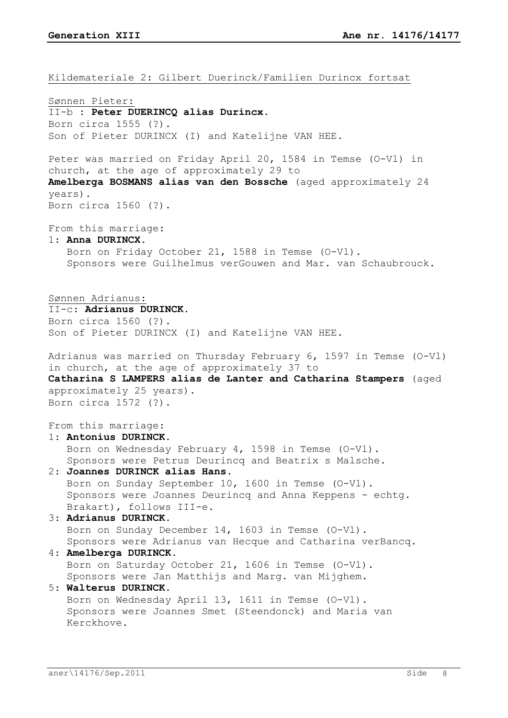Kildemateriale 2: Gilbert Duerinck/Familien Durincx fortsat

Sønnen Pieter: II-b : **Peter DUERINCQ alias Durincx**. Born circa 1555 (?). Son of Pieter DURINCX (I) and Katelijne VAN HEE. Peter was married on Friday April 20, 1584 in Temse (O-Vl) in church, at the age of approximately 29 to **Amelberga BOSMANS alias van den Bossche** (aged approximately 24 years). Born circa 1560 (?). From this marriage: 1: **Anna DURINCX**. Born on Friday October 21, 1588 in Temse (O-Vl). Sponsors were Guilhelmus verGouwen and Mar. van Schaubrouck. Sønnen Adrianus: II-c: **Adrianus DURINCK**. Born circa 1560 (?). Son of Pieter DURINCX (I) and Katelijne VAN HEE. Adrianus was married on Thursday February 6, 1597 in Temse (O-Vl) in church, at the age of approximately 37 to **Catharina S LAMPERS alias de Lanter and Catharina Stampers** (aged approximately 25 years). Born circa 1572 (?). From this marriage: 1: **Antonius DURINCK**. Born on Wednesday February 4, 1598 in Temse (O-Vl). Sponsors were Petrus Deurincq and Beatrix s Malsche. 2: **Joannes DURINCK alias Hans**. Born on Sunday September 10, 1600 in Temse (O-Vl). Sponsors were Joannes Deurincq and Anna Keppens - echtg. Brakart), follows III-e. 3: **Adrianus DURINCK**. Born on Sunday December 14, 1603 in Temse (O-Vl). Sponsors were Adrianus van Hecque and Catharina verBancq. 4: **Amelberga DURINCK**. Born on Saturday October 21, 1606 in Temse (O-Vl). Sponsors were Jan Matthijs and Marg. van Mijghem. 5: **Walterus DURINCK**. Born on Wednesday April 13, 1611 in Temse (O-Vl). Sponsors were Joannes Smet (Steendonck) and Maria van Kerckhove.